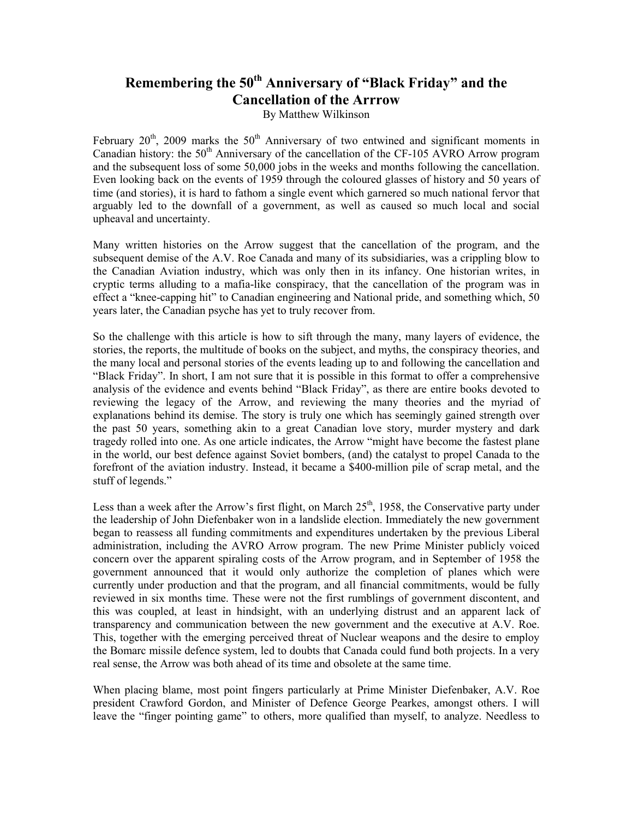## **Remembering the 50th Anniversary of "Black Friday" and the Cancellation of the Arrrow**

By Matthew Wilkinson

February  $20<sup>th</sup>$ , 2009 marks the  $50<sup>th</sup>$  Anniversary of two entwined and significant moments in Canadian history: the  $50<sup>th</sup>$  Anniversary of the cancellation of the CF-105 AVRO Arrow program and the subsequent loss of some 50,000 jobs in the weeks and months following the cancellation. Even looking back on the events of 1959 through the coloured glasses of history and 50 years of time (and stories), it is hard to fathom a single event which garnered so much national fervor that arguably led to the downfall of a government, as well as caused so much local and social upheaval and uncertainty.

Many written histories on the Arrow suggest that the cancellation of the program, and the subsequent demise of the A.V. Roe Canada and many of its subsidiaries, was a crippling blow to the Canadian Aviation industry, which was only then in its infancy. One historian writes, in cryptic terms alluding to a mafia-like conspiracy, that the cancellation of the program was in effect a "knee-capping hit" to Canadian engineering and National pride, and something which, 50 years later, the Canadian psyche has yet to truly recover from.

So the challenge with this article is how to sift through the many, many layers of evidence, the stories, the reports, the multitude of books on the subject, and myths, the conspiracy theories, and the many local and personal stories of the events leading up to and following the cancellation and "Black Friday". In short, I am not sure that it is possible in this format to offer a comprehensive analysis of the evidence and events behind "Black Friday", as there are entire books devoted to reviewing the legacy of the Arrow, and reviewing the many theories and the myriad of explanations behind its demise. The story is truly one which has seemingly gained strength over the past 50 years, something akin to a great Canadian love story, murder mystery and dark tragedy rolled into one. As one article indicates, the Arrow "might have become the fastest plane in the world, our best defence against Soviet bombers, (and) the catalyst to propel Canada to the forefront of the aviation industry. Instead, it became a \$400-million pile of scrap metal, and the stuff of legends."

Less than a week after the Arrow's first flight, on March  $25<sup>th</sup>$ , 1958, the Conservative party under the leadership of John Diefenbaker won in a landslide election. Immediately the new government began to reassess all funding commitments and expenditures undertaken by the previous Liberal administration, including the AVRO Arrow program. The new Prime Minister publicly voiced concern over the apparent spiraling costs of the Arrow program, and in September of 1958 the government announced that it would only authorize the completion of planes which were currently under production and that the program, and all financial commitments, would be fully reviewed in six months time. These were not the first rumblings of government discontent, and this was coupled, at least in hindsight, with an underlying distrust and an apparent lack of transparency and communication between the new government and the executive at A.V. Roe. This, together with the emerging perceived threat of Nuclear weapons and the desire to employ the Bomarc missile defence system, led to doubts that Canada could fund both projects. In a very real sense, the Arrow was both ahead of its time and obsolete at the same time.

When placing blame, most point fingers particularly at Prime Minister Diefenbaker, A.V. Roe president Crawford Gordon, and Minister of Defence George Pearkes, amongst others. I will leave the "finger pointing game" to others, more qualified than myself, to analyze. Needless to